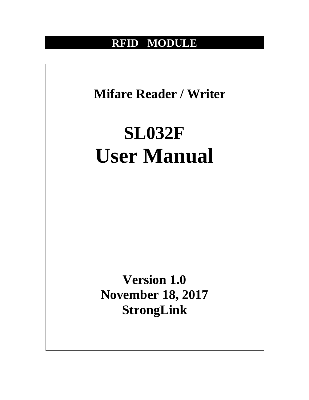# **RFID MODULE**

**Mifare Reader / Writer**

# **SL032F User Manual**

**Version 1.0 November 18, 2017 StrongLink**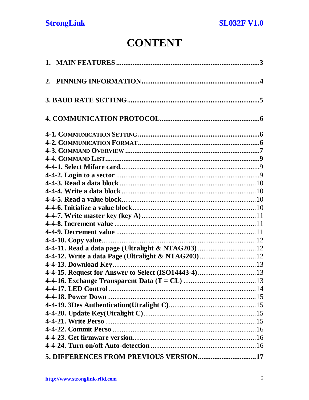# **CONTENT**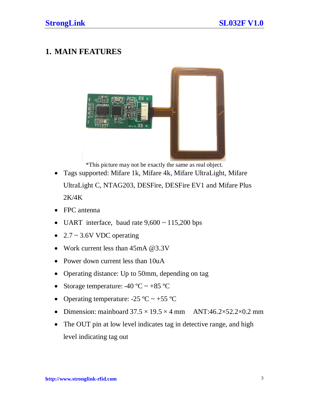# <span id="page-2-0"></span>**1. MAIN FEATURES**



\*This picture may not be exactly the same as real object.

- Tags supported: Mifare 1k, Mifare 4k, Mifare UltraLight, Mifare UltraLight C, NTAG203, DESFire, DESFire EV1 and Mifare Plus 2K/4K
- FPC antenna
- UART interface, baud rate  $9,600 \sim 115,200$  bps
- $2.7 \sim 3.6V$  VDC operating
- Work current less than 45mA @3.3V
- Power down current less than 10uA
- Operating distance: Up to 50mm, depending on tag
- Storage temperature:  $-40 \degree C \sim +85 \degree C$
- Operating temperature:  $-25 \text{ °C} \sim +55 \text{ °C}$
- Dimension: mainboard  $37.5 \times 19.5 \times 4$  mm ANT:46.2×52.2×0.2 mm
- The OUT pin at low level indicates tag in detective range, and high level indicating tag out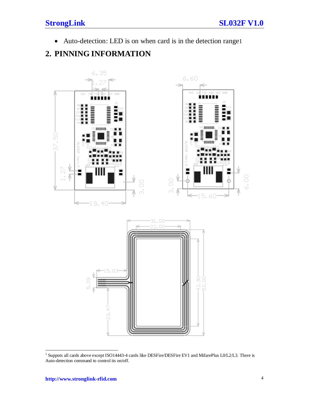• Auto-detection: LED is on when card is in the detection range[1](#page-3-1)

# <span id="page-3-0"></span>**2. PINNING INFORMATION**



<span id="page-3-1"></span><sup>&</sup>lt;sup>1</sup> Suppots all cards above except ISO14443-4 cards like DESFire/DESFire EV1 and MifarePlus L0/L2/L3. There is Auto-detection command to control its on/off.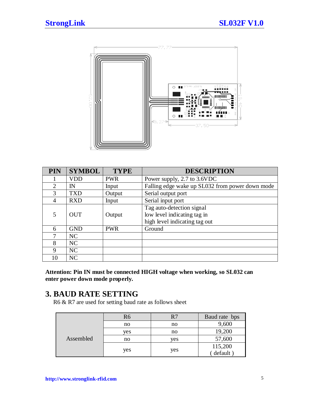

| <b>PIN</b> | <b>SYMBOL</b>  | <b>TYPE</b> | <b>DESCRIPTION</b>                              |
|------------|----------------|-------------|-------------------------------------------------|
|            | <b>VDD</b>     | <b>PWR</b>  | Power supply, 2.7 to 3.6VDC                     |
| 2          | IN             | Input       | Falling edge wake up SL032 from power down mode |
| 3          | <b>TXD</b>     | Output      | Serial output port                              |
| 4          | <b>RXD</b>     | Input       | Serial input port                               |
|            |                |             | Tag auto-detection signal                       |
| 5          | <b>OUT</b>     | Output      | low level indicating tag in                     |
|            |                |             | high level indicating tag out                   |
| 6          | <b>GND</b>     | <b>PWR</b>  | Ground                                          |
| 7          | N <sub>C</sub> |             |                                                 |
| 8          | NC             |             |                                                 |
| 9          | NC             |             |                                                 |
| 10         | NC             |             |                                                 |

**Attention: Pin IN must be connected HIGH voltage when working, so SL032 can enter power down mode properly.**

<span id="page-4-0"></span>**3. BAUD RATE SETTING**<br>R6 & R7 are used for setting baud rate as follows sheet

|           | R <sub>6</sub> | R7  | Baud rate bps |
|-----------|----------------|-----|---------------|
| Assembled | no             | no  | 9,600         |
|           | ves            | no  | 19,200        |
|           | no             | ves | 57,600        |
|           | yes            |     | 115,200       |
|           |                | yes | default)      |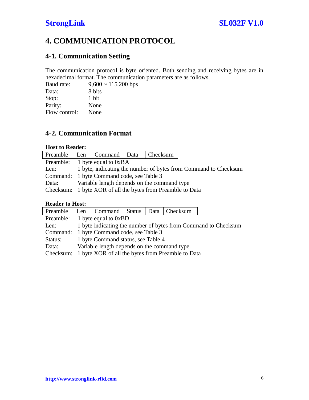# <span id="page-5-0"></span>**4. COMMUNICATION PROTOCOL**

# <span id="page-5-1"></span>**4-1. Communication Setting**

The communication protocol is byte oriented. Both sending and receiving bytes are in hexadecimal format. The communication parameters are as follows,

| $9,600 \sim 115,200$ bps |
|--------------------------|
| 8 bits                   |
| 1 bit                    |
| None                     |
| None                     |
|                          |

# <span id="page-5-2"></span>**4-2. Communication Format**

# **Host to Reader:**

|       |                                             | Preamble   Len   Command   Data   Checksum                      |  |  |  |  |  |  |
|-------|---------------------------------------------|-----------------------------------------------------------------|--|--|--|--|--|--|
|       |                                             | Preamble: 1 byte equal to 0xBA                                  |  |  |  |  |  |  |
| Len:  |                                             | 1 byte, indicating the number of bytes from Command to Checksum |  |  |  |  |  |  |
|       |                                             | Command: 1 byte Command code, see Table 3                       |  |  |  |  |  |  |
| Data: | Variable length depends on the command type |                                                                 |  |  |  |  |  |  |
|       |                                             | Checksum: 1 byte XOR of all the bytes from Preamble to Data     |  |  |  |  |  |  |

# **Reader to Host:**

| Preamble  |                                                                | Len   Command   Status   Data   Checksum          |  |  |  |  |  |  |  |  |
|-----------|----------------------------------------------------------------|---------------------------------------------------|--|--|--|--|--|--|--|--|
|           |                                                                | Preamble: $1$ byte equal to $0xBD$                |  |  |  |  |  |  |  |  |
| Len:      | 1 byte indicating the number of bytes from Command to Checksum |                                                   |  |  |  |  |  |  |  |  |
|           |                                                                | Command: 1 byte Command code, see Table 3         |  |  |  |  |  |  |  |  |
| Status:   | 1 byte Command status, see Table 4                             |                                                   |  |  |  |  |  |  |  |  |
| Data:     |                                                                | Variable length depends on the command type.      |  |  |  |  |  |  |  |  |
| Checksum: |                                                                | 1 byte XOR of all the bytes from Preamble to Data |  |  |  |  |  |  |  |  |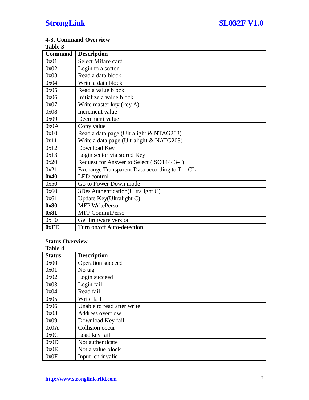#### <span id="page-6-0"></span>**4-3. Command Overview Table 3**

| Table 3        |                                                 |
|----------------|-------------------------------------------------|
| <b>Command</b> | <b>Description</b>                              |
| 0x01           | Select Mifare card                              |
| 0x02           | Login to a sector                               |
| 0x03           | Read a data block                               |
| 0x04           | Write a data block                              |
| 0x05           | Read a value block                              |
| 0x06           | Initialize a value block                        |
| 0x07           | Write master key (key A)                        |
| 0x08           | Increment value                                 |
| 0x09           | Decrement value                                 |
| 0x0A           | Copy value                                      |
| 0x10           | Read a data page (Ultralight & NTAG203)         |
| 0x11           | Write a data page (Ultralight & NATG203)        |
| 0x12           | Download Key                                    |
| 0x13           | Login sector via stored Key                     |
| 0x20           | Request for Answer to Select (ISO14443-4)       |
| 0x21           | Exchange Transparent Data according to $T = CL$ |
| 0x40           | LED control                                     |
| 0x50           | Go to Power Down mode                           |
| 0x60           | 3Des Authentication(Ultralight C)               |
| 0x61           | Update Key(Ultralight C)                        |
| 0x80           | <b>MFP</b> WritePerso                           |
| 0x81           | MFP CommitPerso                                 |
| 0xF0           | Get firmware version                            |
| 0xFE           | Turn on/off Auto-detection                      |

#### **Status Overview Table 4**

| 1abie 4       |                            |
|---------------|----------------------------|
| <b>Status</b> | <b>Description</b>         |
| 0x00          | <b>Operation</b> succeed   |
| 0x01          | No tag                     |
| 0x02          | Login succeed              |
| 0x03          | Login fail                 |
| 0x04          | Read fail                  |
| 0x05          | Write fail                 |
| 0x06          | Unable to read after write |
| 0x08          | Address overflow           |
| 0x09          | Download Key fail          |
| 0x0A          | Collision occur            |
| 0x0C          | Load key fail              |
| 0x0D          | Not authenticate           |
| 0x0E          | Not a value block          |
| 0x0F          | Input len invalid          |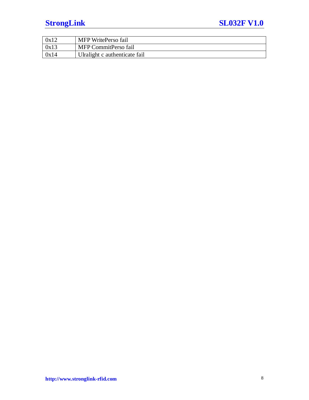# **StrongLink** SL032F V1.0

| 0x12 | MFP WritePerso fail           |
|------|-------------------------------|
| 0x13 | MFP CommitPerso fail          |
| 0x14 | Ulralight c authenticate fail |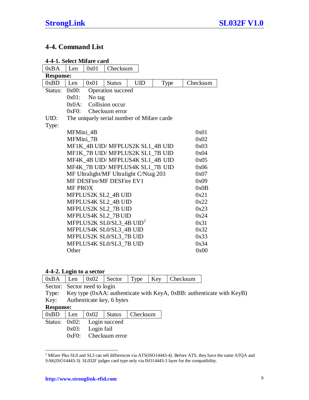# <span id="page-8-0"></span>**4-4. Command List**

<span id="page-8-1"></span>

| 4-4-1. Select Mifare card |                                      |        |                           |                                            |      |          |  |  |
|---------------------------|--------------------------------------|--------|---------------------------|--------------------------------------------|------|----------|--|--|
| 0xBA                      | Len                                  | 0x01   | Checksum                  |                                            |      |          |  |  |
| <b>Response:</b>          |                                      |        |                           |                                            |      |          |  |  |
| 0xBD                      | Len                                  | 0x01   | <b>Status</b>             | <b>UID</b>                                 | Type | Checksum |  |  |
| Status:                   | $0x00$ :                             |        | Operation succeed         |                                            |      |          |  |  |
|                           | $0x01$ :                             | No tag |                           |                                            |      |          |  |  |
|                           | $0x0A$ :                             |        | Collision occur           |                                            |      |          |  |  |
|                           | 0xF0:                                |        | Checksum error            |                                            |      |          |  |  |
| UID:                      |                                      |        |                           | The uniquely serial number of Mifare carde |      |          |  |  |
| Type:                     |                                      |        |                           |                                            |      |          |  |  |
|                           | MFMini 4B                            |        |                           |                                            |      | 0x01     |  |  |
|                           | MFMini 7B                            |        |                           |                                            |      | 0x02     |  |  |
|                           |                                      |        |                           | MF1K 4B UID/MFPLUS2K SL1 4B UID            |      | 0x03     |  |  |
|                           |                                      |        |                           | MF1K 7B UID/MFPLUS2K SL1 7B UID            |      | 0x04     |  |  |
|                           |                                      |        |                           | MF4K_4B UID/ MFPLUS4K SL1_4B UID           |      | 0x05     |  |  |
|                           |                                      |        |                           | MF4K_7B UID/ MFPLUS4K SL1_7B UID           |      | 0x06     |  |  |
|                           |                                      |        |                           | MF Ultralight/MF Ultralight C/Ntag 203     |      | 0x07     |  |  |
|                           |                                      |        | MF DESFire/MF DESFire EV1 |                                            |      | 0x09     |  |  |
|                           | <b>MF PROX</b>                       |        |                           |                                            |      | 0x0B     |  |  |
|                           |                                      |        | MFPLUS2K SL2_4B UID       |                                            |      | 0x21     |  |  |
|                           |                                      |        | MFPLUS4K SL2 4B UID       |                                            |      | 0x22     |  |  |
|                           |                                      |        | MFPLUS2K SL2 7B UID       |                                            |      | 0x23     |  |  |
|                           |                                      |        | MFPLUS4K SL2_7B UID       |                                            |      | 0x24     |  |  |
|                           | MFPLUS2K SL0/SL3_4B UID <sup>2</sup> | 0x31   |                           |                                            |      |          |  |  |
|                           |                                      |        | MFPLUS4K SL0/SL3_4B UID   |                                            |      | 0x32     |  |  |
|                           |                                      |        | MFPLUS2K SL0/SL3_7B UID   |                                            |      | 0x33     |  |  |
|                           |                                      |        | MFPLUS4K SL0/SL3_7B UID   |                                            |      | 0x34     |  |  |
|                           | Other                                |        |                           |                                            |      | 0x00     |  |  |

# <span id="page-8-2"></span>**4-4-2. Login to a sector**

| 0xBA             | Len      | 0x02                                                                  | Sector                    | Type     | Key | Checksum |  |  |  |  |  |  |
|------------------|----------|-----------------------------------------------------------------------|---------------------------|----------|-----|----------|--|--|--|--|--|--|
|                  |          | Sector: Sector need to login                                          |                           |          |     |          |  |  |  |  |  |  |
| Type:            |          | Key type (0xAA: authenticate with KeyA, 0xBB: authenticate with KeyB) |                           |          |     |          |  |  |  |  |  |  |
| Key:             |          |                                                                       | Authenticate key, 6 bytes |          |     |          |  |  |  |  |  |  |
| <b>Response:</b> |          |                                                                       |                           |          |     |          |  |  |  |  |  |  |
| 0xBD             | Len      | 0x02                                                                  | <b>Status</b>             | Checksum |     |          |  |  |  |  |  |  |
| Status:          | $0x02$ : |                                                                       | Login succeed             |          |     |          |  |  |  |  |  |  |
|                  | $0x03$ : | Login fail                                                            |                           |          |     |          |  |  |  |  |  |  |
|                  | 0xF0:    |                                                                       | Checksum error            |          |     |          |  |  |  |  |  |  |

<span id="page-8-3"></span><sup>&</sup>lt;sup>2</sup> Mifare Plus SL0 and SL3 can tell differences via ATS(ISO14443-4). Before ATS, they have the same ATQA and SAK(ISO14443-3). SL032F judges card type only via ISO14443-3 layer for the compatibility.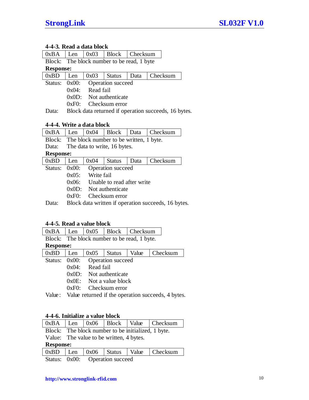# <span id="page-9-0"></span>**4-4-3. Read a data block**

| 0xBA    | Len                           | 0x03                                       | <b>Block</b>                                         | Checksum |          |  |  |  |  |  |  |
|---------|-------------------------------|--------------------------------------------|------------------------------------------------------|----------|----------|--|--|--|--|--|--|
|         |                               | Block: The block number to be read, 1 byte |                                                      |          |          |  |  |  |  |  |  |
|         | <b>Response:</b>              |                                            |                                                      |          |          |  |  |  |  |  |  |
| 0xBD    | Len                           | 0x03                                       | <b>Status</b>                                        | Data     | Checksum |  |  |  |  |  |  |
| Status: | Operation succeed<br>$0x00$ : |                                            |                                                      |          |          |  |  |  |  |  |  |
|         | Read fail<br>0x04:            |                                            |                                                      |          |          |  |  |  |  |  |  |
|         | Not authenticate<br>$0x0D$ :  |                                            |                                                      |          |          |  |  |  |  |  |  |
|         | $0xE0$ .                      |                                            | Checksum error                                       |          |          |  |  |  |  |  |  |
| Data:   |                               |                                            | Block data returned if operation succeeds, 16 bytes. |          |          |  |  |  |  |  |  |

#### <span id="page-9-1"></span>**4-4-4. Write a data block**

| 0xBA             | Len                                              | 0x04       | Block                                          | Data | Checksum                                            |  |  |  |
|------------------|--------------------------------------------------|------------|------------------------------------------------|------|-----------------------------------------------------|--|--|--|
|                  |                                                  |            | Block: The block number to be written, 1 byte. |      |                                                     |  |  |  |
| Data:            | The data to write, 16 bytes.                     |            |                                                |      |                                                     |  |  |  |
| <b>Response:</b> |                                                  |            |                                                |      |                                                     |  |  |  |
| 0xBD             | 0x04<br>Checksum<br><b>Status</b><br>Len<br>Data |            |                                                |      |                                                     |  |  |  |
| Status:          | 0x00:<br><b>Operation</b> succeed                |            |                                                |      |                                                     |  |  |  |
|                  | $0x05$ :                                         | Write fail |                                                |      |                                                     |  |  |  |
|                  | Unable to read after write<br>$0x06$ :           |            |                                                |      |                                                     |  |  |  |
|                  | $0x0D$ :<br>Not authenticate                     |            |                                                |      |                                                     |  |  |  |
|                  | 0xE0                                             |            | Checksum error                                 |      |                                                     |  |  |  |
| ata:             |                                                  |            |                                                |      | Block data written if operation succeeds, 16 bytes. |  |  |  |

# <span id="page-9-2"></span>**4-4-5. Read a value block**

| 0xBA             | Len                                         | 0x05      | Block             | Checksum |  |                                                    |  |
|------------------|---------------------------------------------|-----------|-------------------|----------|--|----------------------------------------------------|--|
|                  | Block: The block number to be read, 1 byte. |           |                   |          |  |                                                    |  |
| <b>Response:</b> |                                             |           |                   |          |  |                                                    |  |
| 0xBD             | Len                                         | 0x05      | <b>Status</b>     | Value    |  | Checksum                                           |  |
| Status:          | 0x00:                                       |           | Operation succeed |          |  |                                                    |  |
|                  | 0x04:                                       | Read fail |                   |          |  |                                                    |  |
|                  | 0x0D:                                       |           | Not authenticate  |          |  |                                                    |  |
|                  | $0x0E$ :                                    |           | Not a value block |          |  |                                                    |  |
|                  | 0xE0                                        |           | Checksum error    |          |  |                                                    |  |
| Value:           |                                             |           |                   |          |  | Value returned if the operation succeeds, 4 bytes. |  |

# <span id="page-9-3"></span>**4-4-6. Initialize a value block**

|                  |                                                    |  |               |       | $\vert$ 0xBA $\vert$ Len $\vert$ 0x06 $\vert$ Block $\vert$ Value $\vert$ Checksum |  |  |  |  |
|------------------|----------------------------------------------------|--|---------------|-------|------------------------------------------------------------------------------------|--|--|--|--|
|                  | Block: The block number to be initialized, 1 byte. |  |               |       |                                                                                    |  |  |  |  |
|                  | Value: The value to be written, 4 bytes.           |  |               |       |                                                                                    |  |  |  |  |
| <b>Response:</b> |                                                    |  |               |       |                                                                                    |  |  |  |  |
|                  |                                                    |  |               |       |                                                                                    |  |  |  |  |
| 0xBD             | Len                                                |  | $0x06$ Status | Value | Checksum                                                                           |  |  |  |  |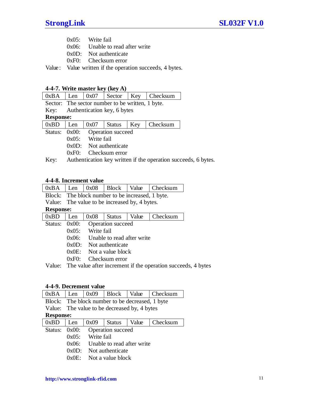| $0x05$ : | Write fail |  |
|----------|------------|--|
|          |            |  |

0x06: Unable to read after write

0x0D: Not authenticate

0xF0: Checksum error

Value: Value written if the operation succeeds, 4 bytes.

# <span id="page-10-0"></span>**4-4-7. Write master key (key A)**

| 0xBA             | Len                         | 0x07       | Sector                                           | Key | Checksum |                                                                |  |  |
|------------------|-----------------------------|------------|--------------------------------------------------|-----|----------|----------------------------------------------------------------|--|--|
|                  |                             |            | Sector: The sector number to be written, 1 byte. |     |          |                                                                |  |  |
| Key:             | Authentication key, 6 bytes |            |                                                  |     |          |                                                                |  |  |
| <b>Response:</b> |                             |            |                                                  |     |          |                                                                |  |  |
| 0xBD             | Len                         | 0x07       | <b>Status</b>                                    | Key | Checksum |                                                                |  |  |
| Status:          | $0x00$ :                    |            | Operation succeed                                |     |          |                                                                |  |  |
|                  | $0x05$ :                    | Write fail |                                                  |     |          |                                                                |  |  |
|                  | $0x0D$ :                    |            | Not authenticate                                 |     |          |                                                                |  |  |
|                  | 0xF0:                       |            | Checksum error                                   |     |          |                                                                |  |  |
| Key:             |                             |            |                                                  |     |          | Authentication key written if the operation succeeds, 6 bytes. |  |  |

# <span id="page-10-1"></span>**4-4-8. Increment value**

|    |     |  | $0xBA$ Len $0x08$ Block Value Checksum |
|----|-----|--|----------------------------------------|
| -- | --- |  |                                        |

Block: The block number to be increased, 1 byte.

Value: The value to be increased by, 4 bytes.

# **Response:**

| $0xBD$   Len  | $0x08$              | <b>Status</b>                       | Value | $ $ Checksum |
|---------------|---------------------|-------------------------------------|-------|--------------|
| Status: 0x00: |                     | <b>Operation</b> succeed            |       |              |
|               | $0x05$ : Write fail |                                     |       |              |
|               |                     | $0x06$ : Unable to read after write |       |              |
|               |                     | $0x0D$ : Not authenticate           |       |              |
|               |                     | $0x0E$ : Not a value block          |       |              |
|               |                     | $0xF0:$ Checksum error              |       |              |

Value: The value after increment if the operation succeeds, 4 bytes

# <span id="page-10-2"></span>**4-4-9. Decrement value**

| 0xBA             | Len      | 0x09       | <b>Block</b>                                    | Value | Checksum |
|------------------|----------|------------|-------------------------------------------------|-------|----------|
|                  |          |            | Block: The block number to be decreased, 1 byte |       |          |
|                  |          |            | Value: The value to be decreased by, 4 bytes    |       |          |
| <b>Response:</b> |          |            |                                                 |       |          |
| 0xBD             | Len      | 0x09       | <b>Status</b>                                   | Value | Checksum |
| Status:          | 0x00:    |            | Operation succeed                               |       |          |
|                  | $0x05$ : | Write fail |                                                 |       |          |
|                  | 0x06:    |            | Unable to read after write                      |       |          |
|                  | 0x0D:    |            | Not authenticate                                |       |          |
|                  | $0x0E$ : |            | Not a value block                               |       |          |
|                  |          |            |                                                 |       |          |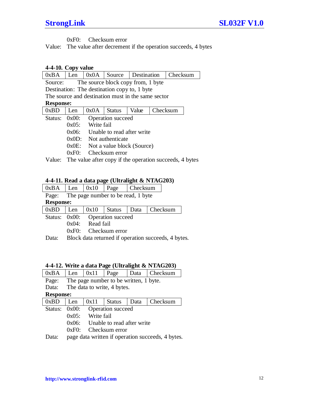0xF0: Checksum error

Value: The value after decrement if the operation succeeds, 4 bytes

# <span id="page-11-0"></span>**4-4-10. Copy value**

| 0xBA    | Len                                                | 0x0A       | Source                                       | Destination |  | Checksum                                                       |  |  |  |
|---------|----------------------------------------------------|------------|----------------------------------------------|-------------|--|----------------------------------------------------------------|--|--|--|
| Source: | The source block copy from, 1 byte                 |            |                                              |             |  |                                                                |  |  |  |
|         |                                                    |            | Destination: The destination copy to, 1 byte |             |  |                                                                |  |  |  |
|         | The source and destination must in the same sector |            |                                              |             |  |                                                                |  |  |  |
|         | <b>Response:</b>                                   |            |                                              |             |  |                                                                |  |  |  |
| 0xBD    | Value<br>0x0A<br>Checksum<br>Len<br><b>Status</b>  |            |                                              |             |  |                                                                |  |  |  |
| Status: | $0x00$ :<br><b>Operation</b> succeed               |            |                                              |             |  |                                                                |  |  |  |
|         | $0x05$ :                                           | Write fail |                                              |             |  |                                                                |  |  |  |
|         | $0x06$ :                                           |            | Unable to read after write                   |             |  |                                                                |  |  |  |
|         | $0x0D$ :                                           |            | Not authenticate                             |             |  |                                                                |  |  |  |
|         | $0x0E$ :<br>Not a value block (Source)             |            |                                              |             |  |                                                                |  |  |  |
|         | Checksum error<br>0xF0:                            |            |                                              |             |  |                                                                |  |  |  |
|         |                                                    |            |                                              |             |  | Value: The value after copy if the operation succeeds, 4 bytes |  |  |  |

# <span id="page-11-1"></span>**4-4-11. Read a data page (Ultralight & NTAG203)**

| 0xBA                                        | Len                                              | 0x10 | Page                                                | Checksum |  |  |  |
|---------------------------------------------|--------------------------------------------------|------|-----------------------------------------------------|----------|--|--|--|
| The page number to be read, 1 byte<br>Page: |                                                  |      |                                                     |          |  |  |  |
|                                             | <b>Response:</b>                                 |      |                                                     |          |  |  |  |
| 0xBD                                        | 0x10<br>Checksum<br><b>Status</b><br>Data<br>Len |      |                                                     |          |  |  |  |
| Status: 0x00:                               |                                                  |      | <b>Operation</b> succeed                            |          |  |  |  |
|                                             | Read fail<br>0x04:                               |      |                                                     |          |  |  |  |
|                                             | 0xE0:                                            |      | Checksum error                                      |          |  |  |  |
| Data:                                       |                                                  |      | Block data returned if operation succeeds, 4 bytes. |          |  |  |  |

# <span id="page-11-2"></span>**4-4-12. Write a data Page (Ultralight & NTAG203)**

| 0xBA             | Len      | 0x11       | Page                                   | Data | Checksum                                          |
|------------------|----------|------------|----------------------------------------|------|---------------------------------------------------|
| Page:            |          |            | The page number to be written, 1 byte. |      |                                                   |
| Data:            |          |            | The data to write, 4 bytes.            |      |                                                   |
| <b>Response:</b> |          |            |                                        |      |                                                   |
| 0xBD             | Len      | 0x11       | <b>Status</b>                          | Data | Checksum                                          |
| Status:          | $0x00$ : |            | Operation succeed                      |      |                                                   |
|                  | $0x05$ : | Write fail |                                        |      |                                                   |
|                  | 0x06:    |            | Unable to read after write             |      |                                                   |
|                  | 0xE0     |            | Checksum error                         |      |                                                   |
| Data:            |          |            |                                        |      | page data written if operation succeeds, 4 bytes. |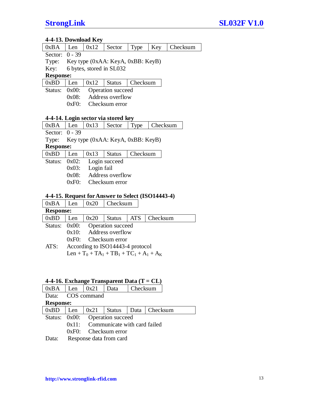# <span id="page-12-0"></span>**4-4-13. Download Key**

| $0xBA$ Len $0x12$ Sector |  |  |  | Type |  | Key Checksum |
|--------------------------|--|--|--|------|--|--------------|
|--------------------------|--|--|--|------|--|--------------|

Sector: 0 - 39

Type: Key type (0xAA: KeyA, 0xBB: KeyB)

Key: 6 bytes, stored in SL032

# **Response:**

| 0xBD | $\vert$ Len $\vert$ 0x12 |  | <b>Status</b> | Checksum |
|------|--------------------------|--|---------------|----------|
|------|--------------------------|--|---------------|----------|

Status: 0x00: Operation succeed 0x08: Address overflow

0xF0: Checksum error

# **4-4-14. Login sector via stored key**

| $0xBA$   Len   $0x13$ |                                         |      | Sector        |          | Type   Checksum |  |  |
|-----------------------|-----------------------------------------|------|---------------|----------|-----------------|--|--|
|                       | Sector: $0 - 39$                        |      |               |          |                 |  |  |
|                       | Type: Key type (0xAA: KeyA, 0xBB: KeyB) |      |               |          |                 |  |  |
|                       |                                         |      |               |          |                 |  |  |
| <b>Response:</b>      |                                         |      |               |          |                 |  |  |
| 0xBD                  | Len                                     | 0x13 | <b>Status</b> | Checksum |                 |  |  |

0x03: Login fail

0x08: Address overflow

0xF0: Checksum error

# <span id="page-12-1"></span>**4-4-15. Request for Answer to Select (ISO14443-4)**

| 0xBA             | Len                              | 0x20 | Checksum                                               |            |          |  |
|------------------|----------------------------------|------|--------------------------------------------------------|------------|----------|--|
| <b>Response:</b> |                                  |      |                                                        |            |          |  |
| 0xBD             | Len                              | 0x20 | <b>Status</b>                                          | <b>ATS</b> | Checksum |  |
| Status: 0x00:    | Operation succeed                |      |                                                        |            |          |  |
|                  | $0x10$ : Address overflow        |      |                                                        |            |          |  |
|                  | Checksum error<br>0xE0           |      |                                                        |            |          |  |
| ATS:             | According to ISO14443-4 protocol |      |                                                        |            |          |  |
|                  |                                  |      | Len + $T_0$ + $TA_1$ + $TB_1$ + $TC_1$ + $A_1$ + $A_K$ |            |          |  |

# <span id="page-12-2"></span>**4-4-16. Exchange Transparent Data (T = CL)**

| 0xBA              | Len $\vert 0x21 \vert$ |                                 | Data                                                                                                                                                                                                                                                                                             | Checksum |                                 |  |
|-------------------|------------------------|---------------------------------|--------------------------------------------------------------------------------------------------------------------------------------------------------------------------------------------------------------------------------------------------------------------------------------------------|----------|---------------------------------|--|
| Data: COS command |                        |                                 |                                                                                                                                                                                                                                                                                                  |          |                                 |  |
| <b>Response:</b>  |                        |                                 |                                                                                                                                                                                                                                                                                                  |          |                                 |  |
| 0xBD              | Len                    |                                 |                                                                                                                                                                                                                                                                                                  |          | 0x21   Status   Data   Checksum |  |
|                   |                        | Status: 0x00: Operation succeed |                                                                                                                                                                                                                                                                                                  |          |                                 |  |
|                   | 0x11                   | Communicate with card failed    |                                                                                                                                                                                                                                                                                                  |          |                                 |  |
|                   | 0xE0                   | Checksum error                  |                                                                                                                                                                                                                                                                                                  |          |                                 |  |
|                   |                        |                                 | $\mathbf{r}$ and $\mathbf{r}$ and $\mathbf{r}$ and $\mathbf{r}$ and $\mathbf{r}$ and $\mathbf{r}$ and $\mathbf{r}$ and $\mathbf{r}$ and $\mathbf{r}$ and $\mathbf{r}$ and $\mathbf{r}$ and $\mathbf{r}$ and $\mathbf{r}$ and $\mathbf{r}$ and $\mathbf{r}$ and $\mathbf{r}$ and $\mathbf{r}$ and |          |                                 |  |

Data: Response data from card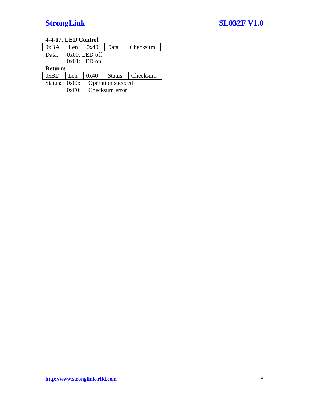# <span id="page-13-0"></span>**4-4-17. LED Control**

| 0xBA          | Len              | 0x40              | Data | Checksum          |  |  |  |
|---------------|------------------|-------------------|------|-------------------|--|--|--|
| Data:         | $0x00$ : LED off |                   |      |                   |  |  |  |
|               | $0x01$ : LED on  |                   |      |                   |  |  |  |
|               | <b>Return:</b>   |                   |      |                   |  |  |  |
| 0xBD          | Len              | 0x40              |      | Status   Checksum |  |  |  |
| Status: 0x00: |                  | Operation succeed |      |                   |  |  |  |
|               | 0xE0:            | Checksum error    |      |                   |  |  |  |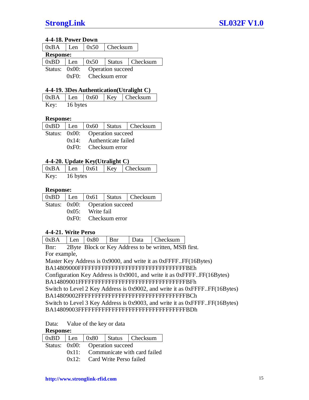# <span id="page-14-0"></span>**4-4-18. Power Down**

| $0xBA$ Len       |     |                                 | $\vert$ 0x50 $\vert$ Checksum |                                              |  |
|------------------|-----|---------------------------------|-------------------------------|----------------------------------------------|--|
| <b>Response:</b> |     |                                 |                               |                                              |  |
| 0xBD             | Len |                                 |                               | $\vert$ 0x50 $\vert$ Status $\vert$ Checksum |  |
|                  |     | Status: 0x00: Operation succeed |                               |                                              |  |
|                  |     |                                 | $0xF0:$ Checksum error        |                                              |  |

# <span id="page-14-1"></span>**4-4-19. 3Des Authentication(Utralight C)**

|      |          |  | $0xBA$ Len $0x60$ Key Checksum |
|------|----------|--|--------------------------------|
| Key: | 16 bytes |  |                                |

# **Response:**

|  |                                 |  | $0xBD$   Len   $0x60$   Status   Checksum |  |
|--|---------------------------------|--|-------------------------------------------|--|
|  | Status: 0x00: Operation succeed |  |                                           |  |
|  | $0x14$ : Authenticate failed    |  |                                           |  |
|  | $0xF0:$ Checksum error          |  |                                           |  |
|  |                                 |  |                                           |  |

# <span id="page-14-2"></span>**4-4-20. Update Key(Utralight C)**

|      |          |  | $\vert$ 0xBA $\vert$ Len $\vert$ 0x61 $\vert$ Key $\vert$ Checksum |
|------|----------|--|--------------------------------------------------------------------|
| Key: | 16 bytes |  |                                                                    |

# **Response:**

|  |                                 |  | $0xBD$   Len   0x61   Status   Checksum |  |
|--|---------------------------------|--|-----------------------------------------|--|
|  | Status: 0x00: Operation succeed |  |                                         |  |
|  | $0x05$ : Write fail             |  |                                         |  |
|  | $0xF0:$ Checksum error          |  |                                         |  |

# <span id="page-14-3"></span>**4-4-21. Write Perso**

| 0xBA | Len | 0x80 | <b>B</b> nr | Data | Checksum |
|------|-----|------|-------------|------|----------|
|      |     |      |             |      |          |

Bnr: 2Byte Block or Key Address to be written, MSB first. For example,

Master Key Address is 0x9000, and write it as 0xFFFF..FF(16Bytes) BA14809000FFFFFFFFFFFFFFFFFFFFFFFFFFFFFFFFBEh Configuration Key Address is 0x9001, and write it as 0xFFFF..FF(16Bytes) BA14809001FFFFFFFFFFFFFFFFFFFFFFFFFFFFFFFFBFh Switch to Level 2 Key Address is 0x9002, and write it as 0xFFFF..FF(16Bytes) BA14809002FFFFFFFFFFFFFFFFFFFFFFFFFFFFFFFFBCh Switch to Level 3 Key Address is 0x9003, and write it as 0xFFFF..FF(16Bytes) BA14809003FFFFFFFFFFFFFFFFFFFFFFFFFFFFFFFFBDh

Data: Value of the key or data

# **Response:**

|  |                                    |                               | $0xBD$   Len   $0x80$   Status   Checksum |  |
|--|------------------------------------|-------------------------------|-------------------------------------------|--|
|  | Status: 0x00: Operation succeed    |                               |                                           |  |
|  | 0x11: Communicate with card failed |                               |                                           |  |
|  |                                    | 0x12: Card Write Perso failed |                                           |  |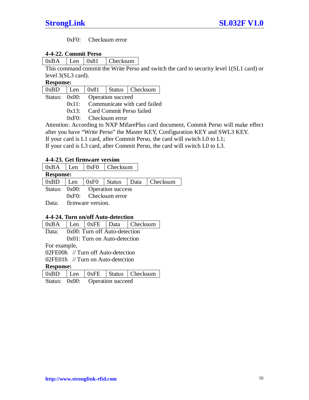0xF0: Checksum error

# <span id="page-15-0"></span>**4-4-22. Commit Perso**

 $0xBA$  Len  $0x81$  Checksum

This command commit the Write Perso and switch the card to security level 1(SL1 card) or level 3(SL3 card).

# **Response:**

| 0xBD | Len | 0x81 | <b>Status</b> | Checksum |
|------|-----|------|---------------|----------|
|------|-----|------|---------------|----------|

Status: 0x00: Operation succeed

- 0x11: Communicate with card failed
- 0x13: Card Commit Perso failed
- 0xF0: Checksum error

Attention: According to NXP MifarePlus card document, Commit Perso will make effect after you have "Write Perso" the Master KEY, Configuration KEY and SWL3 KEY. If your card is L1 card, after Commit Perso, the card will switch L0 to L1; If your card is L3 card, after Commit Perso, the card will switch L0 to L3.

# <span id="page-15-1"></span>**4-4-23. Get firmware version**

| 0xBA             | $ $ Len                         |      | $\sqrt{0xF0}$ Checksum |  |                 |
|------------------|---------------------------------|------|------------------------|--|-----------------|
| <b>Response:</b> |                                 |      |                        |  |                 |
| 0xBD             | Len                             | 0xF0 | Status                 |  | Data   Checksum |
|                  | Status: 0x00: Operation success |      |                        |  |                 |
|                  | $0xF0$ : Checksum error         |      |                        |  |                 |
| Data:            | firmware version.               |      |                        |  |                 |

# <span id="page-15-2"></span>**4-4-24. Turn on/off Auto-detection**

| Checksum<br>Data<br>0xBA<br>0xFE<br>l Len |  |
|-------------------------------------------|--|
|-------------------------------------------|--|

Data: 0x00: Turn off Auto-detection 0x01: Turn on Auto-detection

For example,

02FE00h // Turn off Auto-detection

02FE01h // Turn on Auto-detection

**Response:**

|  |                                 |  | $0xBD$   Len   $0xFE$   Status   Checksum |
|--|---------------------------------|--|-------------------------------------------|
|  | Status: 0x00: Operation succeed |  |                                           |